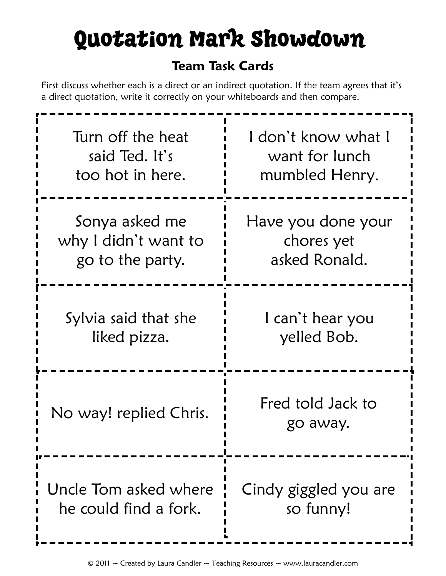# Quotation Mark Showdown

#### **Team Task Cards**

First discuss whether each is a direct or an indirect quotation. If the team agrees that it's a direct quotation, write it correctly on your whiteboards and then compare.

| Turn off the heat      | l don't know what l           |
|------------------------|-------------------------------|
| said Ted. It's         | want for lunch                |
| too hot in here.       | mumbled Henry.                |
| Sonya asked me         | Have you done your            |
| why I didn't want to   | chores yet                    |
| go to the party.       | asked Ronald.                 |
| Sylvia said that she   | I can't hear you              |
| liked pizza.           | yelled Bob.                   |
| No way! replied Chris. | Fred told Jack to<br>go away. |
| Uncle Tom asked where  | Cindy giggled you are         |
| he could find a fork.  | so funny!                     |

 $\odot$  2011  $\sim$  Created by Laura Candler  $\sim$  Teaching Resources  $\sim$  www.lauracandler.com

ļ